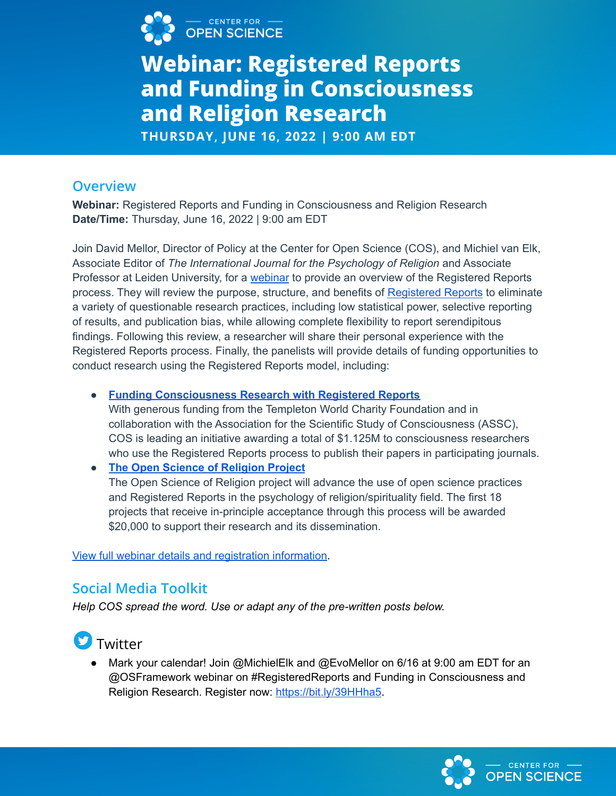

# **Webinar: Registered Reports** and Funding in Consciousness and Religion Research

THURSDAY, JUNE 16, 2022 | 9:00 AM EDT

#### **Overview**

**Webinar:** Registered Reports and Funding in Consciousness and Religion Research **Date/Time:** Thursday, June 16, 2022 | 9:00 am EDT

Join David Mellor, Director of Policy at the Center for Open Science (COS), and Michiel van Elk, Associate Editor of *The International Journal for the Psychology of Religion* and Associate Professor at Leiden University, for a [webinar](https://cos-io.zoom.us/webinar/register/WN_H91tNXFhS8Ccz5mL16WzkA?hsCtaTracking=43e148c7-57f1-4020-be78-f00d6fd82ecf%7C70b544c8-703b-4081-a174-78f4dffebb54) to provide an overview of the Registered Reports process. They will review the purpose, structure, and benefits of [Registered](https://www.cos.io/initiatives/registered-reports) Reports to eliminate a variety of questionable research practices, including low statistical power, selective reporting of results, and publication bias, while allowing complete flexibility to report serendipitous findings. Following this review, a researcher will share their personal experience with the Registered Reports process. Finally, the panelists will provide details of funding opportunities to conduct research using the Registered Reports model, including:

● **Funding [Consciousness](https://www.cos.io/consciousness) Research with Registered Reports**

With generous funding from the Templeton World Charity Foundation and in collaboration with the Association for the Scientific Study of Consciousness (ASSC), COS is leading an initiative awarding a total of \$1.125M to consciousness researchers who use the Registered Reports process to publish their papers in participating journals.

● **The Open Science of [Religion](https://www.openscienceofreligion.com/call-for-proposals) Project** The Open Science of Religion project will advance the use of open science practices and Registered Reports in the psychology of religion/spirituality field. The first 18 projects that receive in-principle acceptance through this process will be awarded \$20,000 to support their research and its dissemination.

View full webinar details and [registration](https://cos-io.zoom.us/webinar/register/WN_H91tNXFhS8Ccz5mL16WzkA?hsCtaTracking=43e148c7-57f1-4020-be78-f00d6fd82ecf%7C70b544c8-703b-4081-a174-78f4dffebb54) information.

#### **Social Media Toolkit**

*Help COS spread the word. Use or adapt any of the pre-written posts below.*

### Twitter

● Mark your calendar! Join @MichielElk and @EvoMellor on 6/16 at 9:00 am EDT for an @OSFramework webinar on #RegisteredReports and Funding in Consciousness and Religion Research. Register now: <https://bit.ly/39HHha5>.